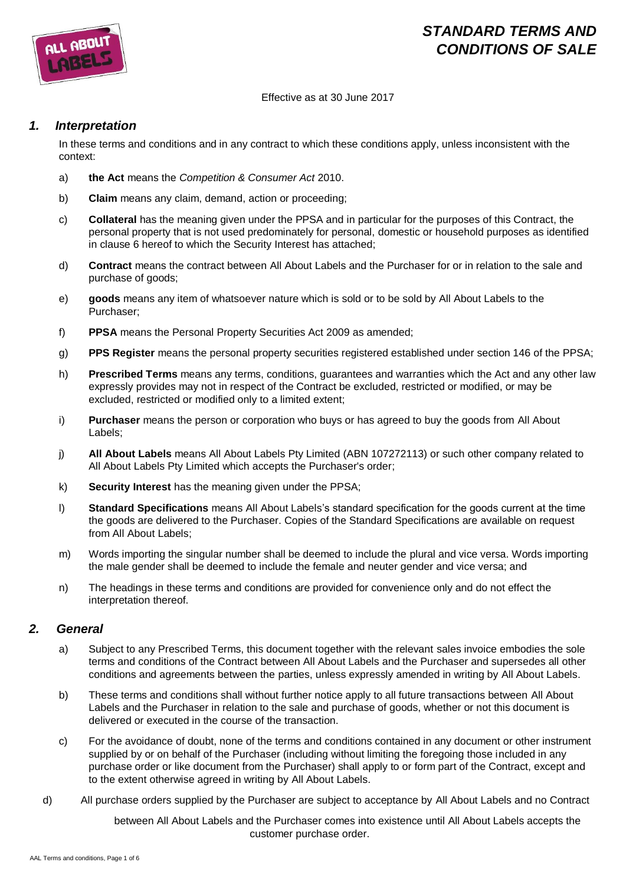

# *STANDARD TERMS AND CONDITIONS OF SALE*

Effective as at 30 June 2017

# *1. Interpretation*

In these terms and conditions and in any contract to which these conditions apply, unless inconsistent with the context:

- a) **the Act** means the *Competition & Consumer Act* 2010.
- b) **Claim** means any claim, demand, action or proceeding;
- c) **Collateral** has the meaning given under the PPSA and in particular for the purposes of this Contract, the personal property that is not used predominately for personal, domestic or household purposes as identified in clause 6 hereof to which the Security Interest has attached;
- d) **Contract** means the contract between All About Labels and the Purchaser for or in relation to the sale and purchase of goods;
- e) **goods** means any item of whatsoever nature which is sold or to be sold by All About Labels to the Purchaser;
- f) **PPSA** means the Personal Property Securities Act 2009 as amended;
- g) **PPS Register** means the personal property securities registered established under section 146 of the PPSA;
- h) **Prescribed Terms** means any terms, conditions, guarantees and warranties which the Act and any other law expressly provides may not in respect of the Contract be excluded, restricted or modified, or may be excluded, restricted or modified only to a limited extent;
- i) **Purchaser** means the person or corporation who buys or has agreed to buy the goods from All About Labels;
- j) **All About Labels** means All About Labels Pty Limited (ABN 107272113) or such other company related to All About Labels Pty Limited which accepts the Purchaser's order;
- k) **Security Interest** has the meaning given under the PPSA;
- l) **Standard Specifications** means All About Labels's standard specification for the goods current at the time the goods are delivered to the Purchaser. Copies of the Standard Specifications are available on request from All About Labels;
- m) Words importing the singular number shall be deemed to include the plural and vice versa. Words importing the male gender shall be deemed to include the female and neuter gender and vice versa; and
- n) The headings in these terms and conditions are provided for convenience only and do not effect the interpretation thereof.

### *2. General*

- a) Subject to any Prescribed Terms, this document together with the relevant sales invoice embodies the sole terms and conditions of the Contract between All About Labels and the Purchaser and supersedes all other conditions and agreements between the parties, unless expressly amended in writing by All About Labels.
- b) These terms and conditions shall without further notice apply to all future transactions between All About Labels and the Purchaser in relation to the sale and purchase of goods, whether or not this document is delivered or executed in the course of the transaction.
- c) For the avoidance of doubt, none of the terms and conditions contained in any document or other instrument supplied by or on behalf of the Purchaser (including without limiting the foregoing those included in any purchase order or like document from the Purchaser) shall apply to or form part of the Contract, except and to the extent otherwise agreed in writing by All About Labels.
- d) All purchase orders supplied by the Purchaser are subject to acceptance by All About Labels and no Contract

 between All About Labels and the Purchaser comes into existence until All About Labels accepts the customer purchase order.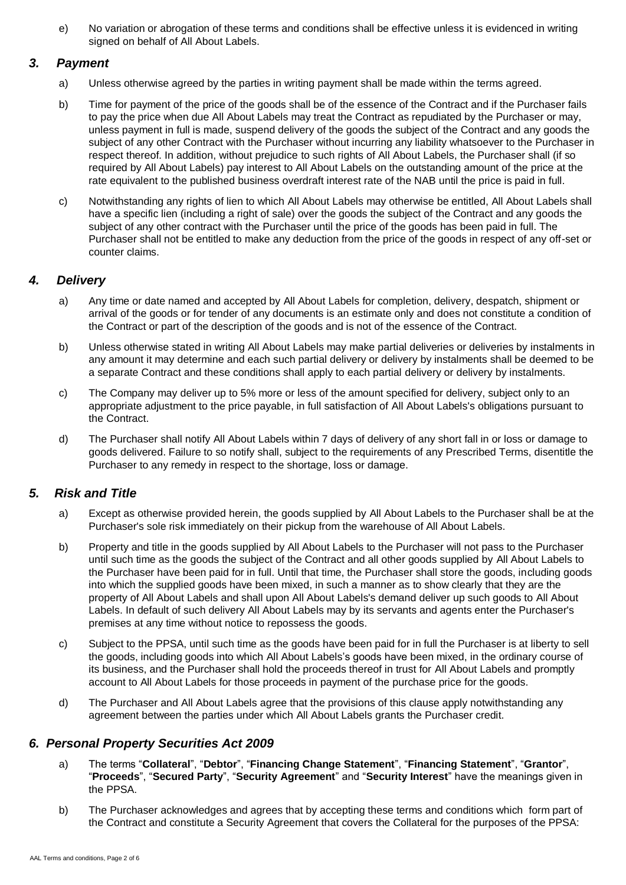e) No variation or abrogation of these terms and conditions shall be effective unless it is evidenced in writing signed on behalf of All About Labels.

# *3. Payment*

- a) Unless otherwise agreed by the parties in writing payment shall be made within the terms agreed.
- b) Time for payment of the price of the goods shall be of the essence of the Contract and if the Purchaser fails to pay the price when due All About Labels may treat the Contract as repudiated by the Purchaser or may, unless payment in full is made, suspend delivery of the goods the subject of the Contract and any goods the subject of any other Contract with the Purchaser without incurring any liability whatsoever to the Purchaser in respect thereof. In addition, without prejudice to such rights of All About Labels, the Purchaser shall (if so required by All About Labels) pay interest to All About Labels on the outstanding amount of the price at the rate equivalent to the published business overdraft interest rate of the NAB until the price is paid in full.
- c) Notwithstanding any rights of lien to which All About Labels may otherwise be entitled, All About Labels shall have a specific lien (including a right of sale) over the goods the subject of the Contract and any goods the subject of any other contract with the Purchaser until the price of the goods has been paid in full. The Purchaser shall not be entitled to make any deduction from the price of the goods in respect of any off-set or counter claims.

# *4. Delivery*

- a) Any time or date named and accepted by All About Labels for completion, delivery, despatch, shipment or arrival of the goods or for tender of any documents is an estimate only and does not constitute a condition of the Contract or part of the description of the goods and is not of the essence of the Contract.
- b) Unless otherwise stated in writing All About Labels may make partial deliveries or deliveries by instalments in any amount it may determine and each such partial delivery or delivery by instalments shall be deemed to be a separate Contract and these conditions shall apply to each partial delivery or delivery by instalments.
- c) The Company may deliver up to 5% more or less of the amount specified for delivery, subject only to an appropriate adjustment to the price payable, in full satisfaction of All About Labels's obligations pursuant to the Contract.
- d) The Purchaser shall notify All About Labels within 7 days of delivery of any short fall in or loss or damage to goods delivered. Failure to so notify shall, subject to the requirements of any Prescribed Terms, disentitle the Purchaser to any remedy in respect to the shortage, loss or damage.

# *5. Risk and Title*

- a) Except as otherwise provided herein, the goods supplied by All About Labels to the Purchaser shall be at the Purchaser's sole risk immediately on their pickup from the warehouse of All About Labels.
- b) Property and title in the goods supplied by All About Labels to the Purchaser will not pass to the Purchaser until such time as the goods the subject of the Contract and all other goods supplied by All About Labels to the Purchaser have been paid for in full. Until that time, the Purchaser shall store the goods, including goods into which the supplied goods have been mixed, in such a manner as to show clearly that they are the property of All About Labels and shall upon All About Labels's demand deliver up such goods to All About Labels. In default of such delivery All About Labels may by its servants and agents enter the Purchaser's premises at any time without notice to repossess the goods.
- c) Subject to the PPSA, until such time as the goods have been paid for in full the Purchaser is at liberty to sell the goods, including goods into which All About Labels's goods have been mixed, in the ordinary course of its business, and the Purchaser shall hold the proceeds thereof in trust for All About Labels and promptly account to All About Labels for those proceeds in payment of the purchase price for the goods.
- d) The Purchaser and All About Labels agree that the provisions of this clause apply notwithstanding any agreement between the parties under which All About Labels grants the Purchaser credit.

### *6. Personal Property Securities Act 2009*

- a) The terms "**Collateral**", "**Debtor**", "**Financing Change Statement**", "**Financing Statement**", "**Grantor**", "**Proceeds**", "**Secured Party**", "**Security Agreement**" and "**Security Interest**" have the meanings given in the PPSA.
- b) The Purchaser acknowledges and agrees that by accepting these terms and conditions which form part of the Contract and constitute a Security Agreement that covers the Collateral for the purposes of the PPSA: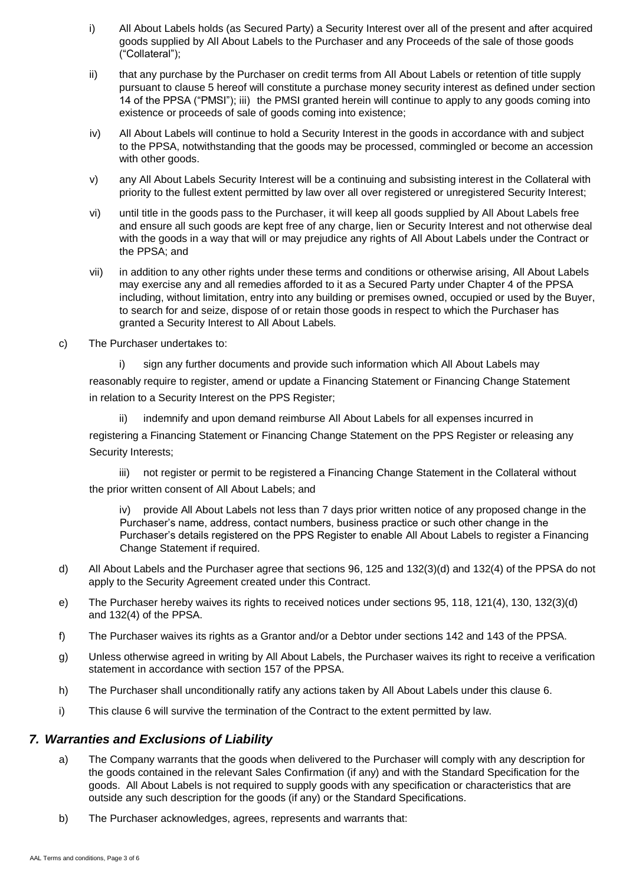- i) All About Labels holds (as Secured Party) a Security Interest over all of the present and after acquired goods supplied by All About Labels to the Purchaser and any Proceeds of the sale of those goods ("Collateral");
- ii) that any purchase by the Purchaser on credit terms from All About Labels or retention of title supply pursuant to clause 5 hereof will constitute a purchase money security interest as defined under section 14 of the PPSA ("PMSI"); iii) the PMSI granted herein will continue to apply to any goods coming into existence or proceeds of sale of goods coming into existence;
- iv) All About Labels will continue to hold a Security Interest in the goods in accordance with and subject to the PPSA, notwithstanding that the goods may be processed, commingled or become an accession with other goods.
- v) any All About Labels Security Interest will be a continuing and subsisting interest in the Collateral with priority to the fullest extent permitted by law over all over registered or unregistered Security Interest;
- vi) until title in the goods pass to the Purchaser, it will keep all goods supplied by All About Labels free and ensure all such goods are kept free of any charge, lien or Security Interest and not otherwise deal with the goods in a way that will or may prejudice any rights of All About Labels under the Contract or the PPSA; and
- vii) in addition to any other rights under these terms and conditions or otherwise arising, All About Labels may exercise any and all remedies afforded to it as a Secured Party under Chapter 4 of the PPSA including, without limitation, entry into any building or premises owned, occupied or used by the Buyer, to search for and seize, dispose of or retain those goods in respect to which the Purchaser has granted a Security Interest to All About Labels.
- c) The Purchaser undertakes to:

i) sign any further documents and provide such information which All About Labels may reasonably require to register, amend or update a Financing Statement or Financing Change Statement in relation to a Security Interest on the PPS Register;

ii) indemnify and upon demand reimburse All About Labels for all expenses incurred in registering a Financing Statement or Financing Change Statement on the PPS Register or releasing any Security Interests;

iii) not register or permit to be registered a Financing Change Statement in the Collateral without the prior written consent of All About Labels; and

iv) provide All About Labels not less than 7 days prior written notice of any proposed change in the Purchaser's name, address, contact numbers, business practice or such other change in the Purchaser's details registered on the PPS Register to enable All About Labels to register a Financing Change Statement if required.

- d) All About Labels and the Purchaser agree that sections 96, 125 and 132(3)(d) and 132(4) of the PPSA do not apply to the Security Agreement created under this Contract.
- e) The Purchaser hereby waives its rights to received notices under sections 95, 118, 121(4), 130, 132(3)(d) and 132(4) of the PPSA.
- f) The Purchaser waives its rights as a Grantor and/or a Debtor under sections 142 and 143 of the PPSA.
- g) Unless otherwise agreed in writing by All About Labels, the Purchaser waives its right to receive a verification statement in accordance with section 157 of the PPSA.
- h) The Purchaser shall unconditionally ratify any actions taken by All About Labels under this clause 6.
- i) This clause 6 will survive the termination of the Contract to the extent permitted by law.

### *7. Warranties and Exclusions of Liability*

- a) The Company warrants that the goods when delivered to the Purchaser will comply with any description for the goods contained in the relevant Sales Confirmation (if any) and with the Standard Specification for the goods. All About Labels is not required to supply goods with any specification or characteristics that are outside any such description for the goods (if any) or the Standard Specifications.
- b) The Purchaser acknowledges, agrees, represents and warrants that: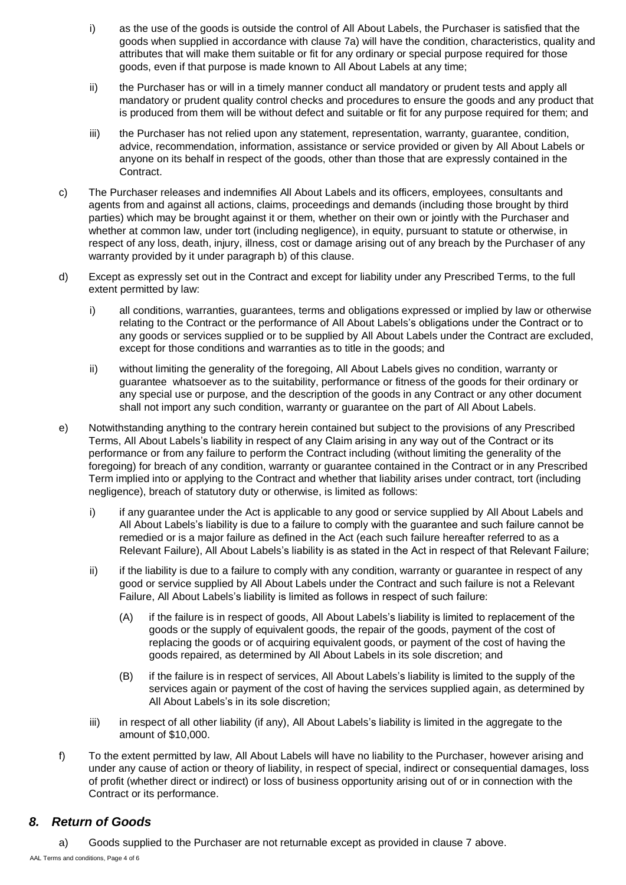- i) as the use of the goods is outside the control of All About Labels, the Purchaser is satisfied that the goods when supplied in accordance with clause 7a) will have the condition, characteristics, quality and attributes that will make them suitable or fit for any ordinary or special purpose required for those goods, even if that purpose is made known to All About Labels at any time;
- ii) the Purchaser has or will in a timely manner conduct all mandatory or prudent tests and apply all mandatory or prudent quality control checks and procedures to ensure the goods and any product that is produced from them will be without defect and suitable or fit for any purpose required for them; and
- iii) the Purchaser has not relied upon any statement, representation, warranty, guarantee, condition, advice, recommendation, information, assistance or service provided or given by All About Labels or anyone on its behalf in respect of the goods, other than those that are expressly contained in the Contract.
- c) The Purchaser releases and indemnifies All About Labels and its officers, employees, consultants and agents from and against all actions, claims, proceedings and demands (including those brought by third parties) which may be brought against it or them, whether on their own or jointly with the Purchaser and whether at common law, under tort (including negligence), in equity, pursuant to statute or otherwise, in respect of any loss, death, injury, illness, cost or damage arising out of any breach by the Purchaser of any warranty provided by it under paragraph b) of this clause.
- d) Except as expressly set out in the Contract and except for liability under any Prescribed Terms, to the full extent permitted by law:
	- i) all conditions, warranties, guarantees, terms and obligations expressed or implied by law or otherwise relating to the Contract or the performance of All About Labels's obligations under the Contract or to any goods or services supplied or to be supplied by All About Labels under the Contract are excluded, except for those conditions and warranties as to title in the goods; and
	- ii) without limiting the generality of the foregoing, All About Labels gives no condition, warranty or guarantee whatsoever as to the suitability, performance or fitness of the goods for their ordinary or any special use or purpose, and the description of the goods in any Contract or any other document shall not import any such condition, warranty or guarantee on the part of All About Labels.
- e) Notwithstanding anything to the contrary herein contained but subject to the provisions of any Prescribed Terms, All About Labels's liability in respect of any Claim arising in any way out of the Contract or its performance or from any failure to perform the Contract including (without limiting the generality of the foregoing) for breach of any condition, warranty or guarantee contained in the Contract or in any Prescribed Term implied into or applying to the Contract and whether that liability arises under contract, tort (including negligence), breach of statutory duty or otherwise, is limited as follows:
	- i) if any guarantee under the Act is applicable to any good or service supplied by All About Labels and All About Labels's liability is due to a failure to comply with the guarantee and such failure cannot be remedied or is a major failure as defined in the Act (each such failure hereafter referred to as a Relevant Failure), All About Labels's liability is as stated in the Act in respect of that Relevant Failure;
	- ii) if the liability is due to a failure to comply with any condition, warranty or guarantee in respect of any good or service supplied by All About Labels under the Contract and such failure is not a Relevant Failure, All About Labels's liability is limited as follows in respect of such failure:
		- (A) if the failure is in respect of goods, All About Labels's liability is limited to replacement of the goods or the supply of equivalent goods, the repair of the goods, payment of the cost of replacing the goods or of acquiring equivalent goods, or payment of the cost of having the goods repaired, as determined by All About Labels in its sole discretion; and
		- (B) if the failure is in respect of services, All About Labels's liability is limited to the supply of the services again or payment of the cost of having the services supplied again, as determined by All About Labels's in its sole discretion;
	- iii) in respect of all other liability (if any), All About Labels's liability is limited in the aggregate to the amount of \$10,000.
- f) To the extent permitted by law, All About Labels will have no liability to the Purchaser, however arising and under any cause of action or theory of liability, in respect of special, indirect or consequential damages, loss of profit (whether direct or indirect) or loss of business opportunity arising out of or in connection with the Contract or its performance.

# *8. Return of Goods*

a) Goods supplied to the Purchaser are not returnable except as provided in clause 7 above.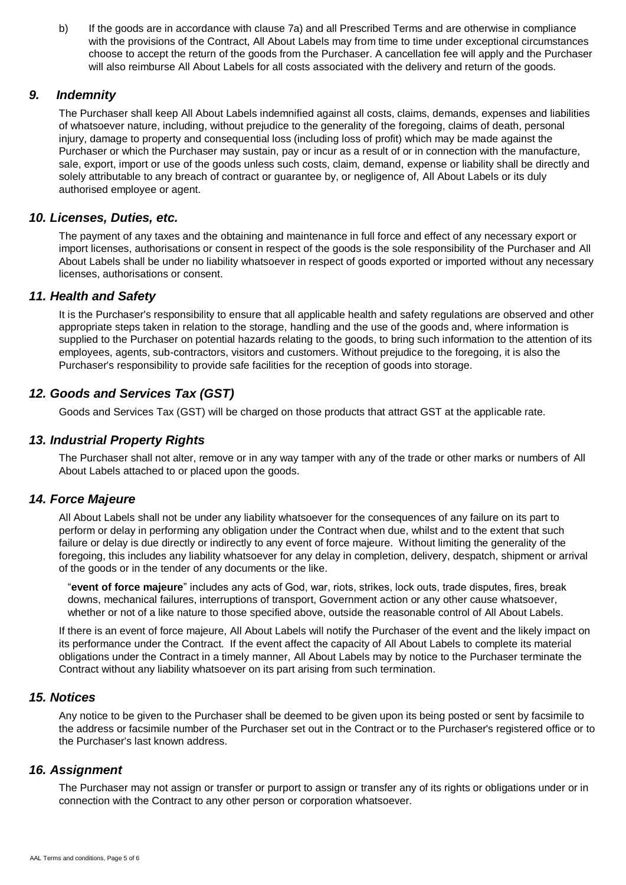b) If the goods are in accordance with clause 7a) and all Prescribed Terms and are otherwise in compliance with the provisions of the Contract, All About Labels may from time to time under exceptional circumstances choose to accept the return of the goods from the Purchaser. A cancellation fee will apply and the Purchaser will also reimburse All About Labels for all costs associated with the delivery and return of the goods.

#### *9. Indemnity*

The Purchaser shall keep All About Labels indemnified against all costs, claims, demands, expenses and liabilities of whatsoever nature, including, without prejudice to the generality of the foregoing, claims of death, personal injury, damage to property and consequential loss (including loss of profit) which may be made against the Purchaser or which the Purchaser may sustain, pay or incur as a result of or in connection with the manufacture, sale, export, import or use of the goods unless such costs, claim, demand, expense or liability shall be directly and solely attributable to any breach of contract or guarantee by, or negligence of, All About Labels or its duly authorised employee or agent.

#### *10. Licenses, Duties, etc.*

The payment of any taxes and the obtaining and maintenance in full force and effect of any necessary export or import licenses, authorisations or consent in respect of the goods is the sole responsibility of the Purchaser and All About Labels shall be under no liability whatsoever in respect of goods exported or imported without any necessary licenses, authorisations or consent.

#### *11. Health and Safety*

It is the Purchaser's responsibility to ensure that all applicable health and safety regulations are observed and other appropriate steps taken in relation to the storage, handling and the use of the goods and, where information is supplied to the Purchaser on potential hazards relating to the goods, to bring such information to the attention of its employees, agents, sub-contractors, visitors and customers. Without prejudice to the foregoing, it is also the Purchaser's responsibility to provide safe facilities for the reception of goods into storage.

### *12. Goods and Services Tax (GST)*

Goods and Services Tax (GST) will be charged on those products that attract GST at the applicable rate.

#### *13. Industrial Property Rights*

The Purchaser shall not alter, remove or in any way tamper with any of the trade or other marks or numbers of All About Labels attached to or placed upon the goods.

#### *14. Force Majeure*

All About Labels shall not be under any liability whatsoever for the consequences of any failure on its part to perform or delay in performing any obligation under the Contract when due, whilst and to the extent that such failure or delay is due directly or indirectly to any event of force majeure. Without limiting the generality of the foregoing, this includes any liability whatsoever for any delay in completion, delivery, despatch, shipment or arrival of the goods or in the tender of any documents or the like.

"**event of force majeure**" includes any acts of God, war, riots, strikes, lock outs, trade disputes, fires, break downs, mechanical failures, interruptions of transport, Government action or any other cause whatsoever, whether or not of a like nature to those specified above, outside the reasonable control of All About Labels.

If there is an event of force majeure, All About Labels will notify the Purchaser of the event and the likely impact on its performance under the Contract. If the event affect the capacity of All About Labels to complete its material obligations under the Contract in a timely manner, All About Labels may by notice to the Purchaser terminate the Contract without any liability whatsoever on its part arising from such termination.

#### *15. Notices*

Any notice to be given to the Purchaser shall be deemed to be given upon its being posted or sent by facsimile to the address or facsimile number of the Purchaser set out in the Contract or to the Purchaser's registered office or to the Purchaser's last known address.

#### *16. Assignment*

The Purchaser may not assign or transfer or purport to assign or transfer any of its rights or obligations under or in connection with the Contract to any other person or corporation whatsoever.